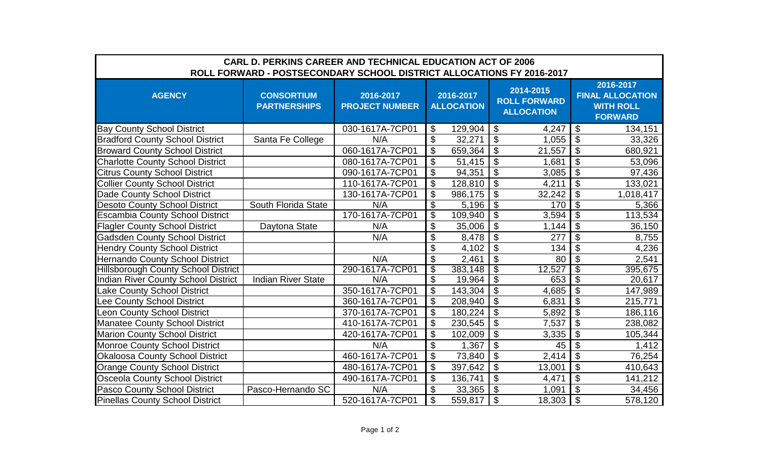| <b>CARL D. PERKINS CAREER AND TECHNICAL EDUCATION ACT OF 2006</b>     |                                          |                                    |                                |         |                                                       |        |                                                                            |           |  |  |  |  |
|-----------------------------------------------------------------------|------------------------------------------|------------------------------------|--------------------------------|---------|-------------------------------------------------------|--------|----------------------------------------------------------------------------|-----------|--|--|--|--|
| ROLL FORWARD - POSTSECONDARY SCHOOL DISTRICT ALLOCATIONS FY 2016-2017 |                                          |                                    |                                |         |                                                       |        |                                                                            |           |  |  |  |  |
| <b>AGENCY</b>                                                         | <b>CONSORTIUM</b><br><b>PARTNERSHIPS</b> | 2016-2017<br><b>PROJECT NUMBER</b> | 2016-2017<br><b>ALLOCATION</b> |         | 2014-2015<br><b>ROLL FORWARD</b><br><b>ALLOCATION</b> |        | 2016-2017<br><b>FINAL ALLOCATION</b><br><b>WITH ROLL</b><br><b>FORWARD</b> |           |  |  |  |  |
| <b>Bay County School District</b>                                     |                                          | 030-1617A-7CP01                    | \$                             | 129,904 | $\overline{1}$                                        | 4,247  | \$                                                                         | 134,151   |  |  |  |  |
| <b>Bradford County School District</b>                                | Santa Fe College                         | N/A                                | \$                             | 32,271  | $\boldsymbol{\mathsf{\$}}$                            | 1,055  | $\boldsymbol{\theta}$                                                      | 33,326    |  |  |  |  |
| <b>Broward County School District</b>                                 |                                          | 060-1617A-7CP01                    | $\boldsymbol{\mathsf{S}}$      | 659,364 | $\mathfrak{S}$                                        | 21,557 | $\boldsymbol{\mathsf{S}}$                                                  | 680,921   |  |  |  |  |
| <b>Charlotte County School District</b>                               |                                          | 080-1617A-7CP01                    | \$                             | 51,415  | $\boldsymbol{\mathsf{\$}}$                            | 1,681  | $\boldsymbol{\mathsf{S}}$                                                  | 53,096    |  |  |  |  |
| <b>Citrus County School District</b>                                  |                                          | 090-1617A-7CP01                    | \$                             | 94,351  | $\overline{\mathcal{S}}$                              | 3,085  | $\overline{\mathbf{G}}$                                                    | 97,436    |  |  |  |  |
| <b>Collier County School District</b>                                 |                                          | 110-1617A-7CP01                    | \$                             | 128,810 | $\mathfrak{L}$                                        | 4,211  | $\overline{\mathcal{S}}$                                                   | 133,021   |  |  |  |  |
| Dade County School District                                           |                                          | 130-1617A-7CP01                    | \$                             | 986,175 | $\boldsymbol{\mathsf{S}}$                             | 32,242 | $\boldsymbol{\mathsf{S}}$                                                  | 1,018,417 |  |  |  |  |
| <b>Desoto County School District</b>                                  | South Florida State                      | N/A                                | $\overline{\mathcal{E}}$       | 5,196   | $\overline{\$}$                                       | 170    | $\overline{\$}$                                                            | 5,366     |  |  |  |  |
| <b>Escambia County School District</b>                                |                                          | 170-1617A-7CP01                    | $\overline{\$}$                | 109,940 | $\overline{\mathbf{G}}$                               | 3,594  | $\overline{\$}$                                                            | 113,534   |  |  |  |  |
| <b>Flagler County School District</b>                                 | Daytona State                            | N/A                                | \$                             | 35,006  | \$                                                    | 1,144  | $\boldsymbol{\mathsf{S}}$                                                  | 36,150    |  |  |  |  |
| <b>Gadsden County School District</b>                                 |                                          | N/A                                | \$                             | 8,478   | $\overline{\mathcal{G}}$                              | 277    | $\overline{\mathcal{S}}$                                                   | 8,755     |  |  |  |  |
| <b>Hendry County School District</b>                                  |                                          |                                    | \$                             | 4,102   | \$                                                    | 134    | $\boldsymbol{\theta}$                                                      | 4,236     |  |  |  |  |
| <b>Hernando County School District</b>                                |                                          | N/A                                | $\boldsymbol{\mathsf{S}}$      | 2,461   | $\boldsymbol{\mathsf{S}}$                             | 80     | $\boldsymbol{\mathsf{S}}$                                                  | 2,541     |  |  |  |  |
| <b>Hillsborough County School District</b>                            |                                          | 290-1617A-7CP01                    | $\overline{\mathcal{E}}$       | 383,148 | $\sqrt{3}$                                            | 12,527 | $\overline{\$}$                                                            | 395,675   |  |  |  |  |
| <b>Indian River County School District</b>                            | <b>Indian River State</b>                | N/A                                | $\overline{\mathbf{G}}$        | 19,964  | \$                                                    | 653    | $\overline{\$}$                                                            | 20,617    |  |  |  |  |
| Lake County School District                                           |                                          | 350-1617A-7CP01                    | $\boldsymbol{\mathsf{S}}$      | 143,304 | $\boldsymbol{\mathsf{S}}$                             | 4,685  | $\overline{\mathbf{S}}$                                                    | 147,989   |  |  |  |  |
| Lee County School District                                            |                                          | 360-1617A-7CP01                    | \$                             | 208,940 | \$                                                    | 6,831  | $\overline{\mathcal{S}}$                                                   | 215,771   |  |  |  |  |
| Leon County School District                                           |                                          | 370-1617A-7CP01                    | \$                             | 180,224 | $\overline{\mathcal{G}}$                              | 5,892  | $\overline{\mathbf{G}}$                                                    | 186,116   |  |  |  |  |
| <b>Manatee County School District</b>                                 |                                          | 410-1617A-7CP01                    | $\overline{\mathcal{G}}$       | 230,545 | $\overline{\mathcal{S}}$                              | 7,537  | $\overline{\$}$                                                            | 238,082   |  |  |  |  |
| <b>Marion County School District</b>                                  |                                          | 420-1617A-7CP01                    | \$                             | 102,009 | \$                                                    | 3,335  | \$                                                                         | 105,344   |  |  |  |  |
| <b>Monroe County School District</b>                                  |                                          | N/A                                | $\boldsymbol{\mathsf{\$}}$     | 1,367   | $\overline{\mathbf{S}}$                               | 45     | $\overline{\mathbf{e}}$                                                    | 1,412     |  |  |  |  |
| Okaloosa County School District                                       |                                          | 460-1617A-7CP01                    | $\overline{\mathbf{e}}$        | 73,840  | $\overline{\mathcal{S}}$                              | 2,414  | $\overline{\mathcal{S}}$                                                   | 76,254    |  |  |  |  |
| <b>Orange County School District</b>                                  |                                          | 480-1617A-7CP01                    | \$                             | 397,642 | $\boldsymbol{\mathsf{S}}$                             | 13,001 | $\boldsymbol{\mathsf{S}}$                                                  | 410,643   |  |  |  |  |
| <b>Osceola County School District</b>                                 |                                          | 490-1617A-7CP01                    | \$                             | 136,741 | $\overline{\mathcal{S}}$                              | 4,471  | $\overline{\mathbf{e}}$                                                    | 141,212   |  |  |  |  |
| <b>Pasco County School District</b>                                   | Pasco-Hernando SC                        | N/A                                | \$                             | 33,365  | \$                                                    | 1,091  | $\overline{\$}$                                                            | 34,456    |  |  |  |  |
| <b>Pinellas County School District</b>                                |                                          | 520-1617A-7CP01                    | $\boldsymbol{\mathsf{S}}$      | 559,817 | l \$                                                  | 18,303 | $\boldsymbol{\mathsf{S}}$                                                  | 578,120   |  |  |  |  |